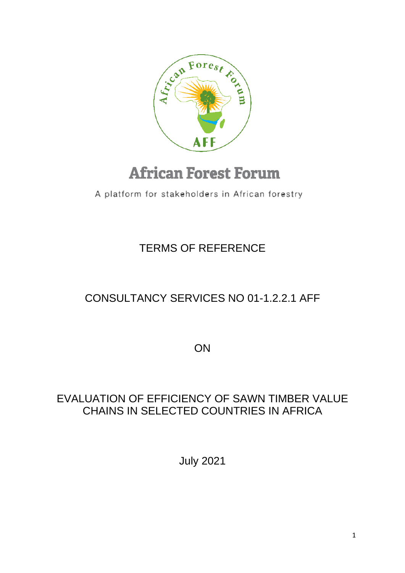

# **African Forest Forum**

A platform for stakeholders in African forestry

### TERMS OF REFERENCE

## CONSULTANCY SERVICES NO 01-1.2.2.1 AFF

**ON** 

### EVALUATION OF EFFICIENCY OF SAWN TIMBER VALUE CHAINS IN SELECTED COUNTRIES IN AFRICA

July 2021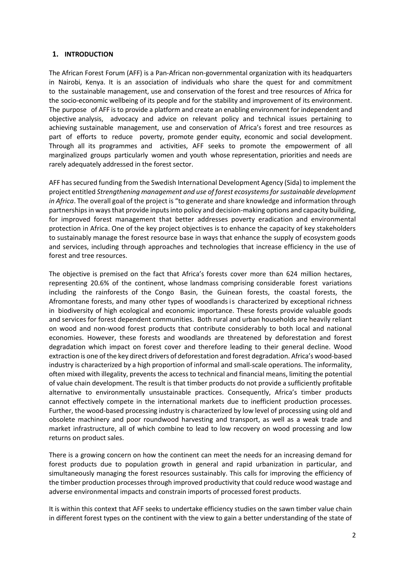#### **1. INTRODUCTION**

The African Forest Forum (AFF) is a Pan-African non-governmental organization with its headquarters in Nairobi, Kenya. It is an association of individuals who share the quest for and commitment to the sustainable management, use and conservation of the forest and tree resources of Africa for the socio-economic wellbeing of its people and for the stability and improvement of its environment. The purpose of AFF is to provide a platform and create an enabling environment for independent and objective analysis, advocacy and advice on relevant policy and technical issues pertaining to achieving sustainable management, use and conservation of Africa's forest and tree resources as part of efforts to reduce poverty, promote gender equity, economic and social development. Through all its programmes and activities, AFF seeks to promote the empowerment of all marginalized groups particularly women and youth whose representation, priorities and needs are rarely adequately addressed in the forest sector.

AFF has secured funding from the Swedish International Development Agency (Sida) to implement the project entitled *Strengthening management and use of forest ecosystems for sustainable development in Africa*. The overall goal of the project is "to generate and share knowledge and information through partnerships in ways that provide inputs into policy and decision-making options and capacity building, for improved forest management that better addresses poverty eradication and environmental protection in Africa. One of the key project objectives is to enhance the capacity of key stakeholders to sustainably manage the forest resource base in ways that enhance the supply of ecosystem goods and services, including through approaches and technologies that increase efficiency in the use of forest and tree resources.

The objective is premised on the fact that Africa's forests cover more than 624 million hectares, representing 20.6% of the continent, whose landmass comprising considerable forest variations including the rainforests of the Congo Basin, the Guinean forests, the coastal forests, the Afromontane forests, and many other types of woodlands is characterized by exceptional richness in biodiversity of high ecological and economic importance. These forests provide valuable goods and services for forest dependent communities. Both rural and urban households are heavily reliant on wood and non-wood forest products that contribute considerably to both local and national economies. However, these forests and woodlands are threatened by deforestation and forest degradation which impact on forest cover and therefore leading to their general decline. Wood extraction is one of the key direct drivers of deforestation and forest degradation. Africa's wood-based industry is characterized by a high proportion of informal and small-scale operations. The informality, often mixed with illegality, prevents the access to technical and financial means, limiting the potential of value chain development. The result is that timber products do not provide a sufficiently profitable alternative to environmentally unsustainable practices. Consequently, Africa's timber products cannot effectively compete in the international markets due to inefficient production processes. Further, the wood-based processing industry is characterized by low level of processing using old and obsolete machinery and poor roundwood harvesting and transport, as well as a weak trade and market infrastructure, all of which combine to lead to low recovery on wood processing and low returns on product sales.

There is a growing concern on how the continent can meet the needs for an increasing demand for forest products due to population growth in general and rapid urbanization in particular, and simultaneously managing the forest resources sustainably. This calls for improving the efficiency of the timber production processesthrough improved productivity that could reduce wood wastage and adverse environmental impacts and constrain imports of processed forest products.

It is within this context that AFF seeks to undertake efficiency studies on the sawn timber value chain in different forest types on the continent with the view to gain a better understanding of the state of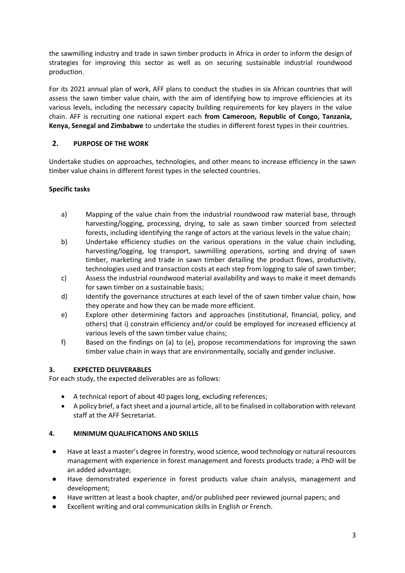the sawmilling industry and trade in sawn timber products in Africa in order to inform the design of strategies for improving this sector as well as on securing sustainable industrial roundwood production.

For its 2021 annual plan of work, AFF plans to conduct the studies in six African countries that will assess the sawn timber value chain, with the aim of identifying how to improve efficiencies at its various levels, including the necessary capacity building requirements for key players in the value chain. AFF is recruiting one national expert each **from Cameroon, Republic of Congo, Tanzania, Kenya, Senegal and Zimbabwe** to undertake the studies in different forest types in their countries.

#### **2. PURPOSE OF THE WORK**

Undertake studies on approaches, technologies, and other means to increase efficiency in the sawn timber value chains in different forest types in the selected countries.

#### **Specific tasks**

- a) Mapping of the value chain from the industrial roundwood raw material base, through harvesting/logging, processing, drying, to sale as sawn timber sourced from selected forests, including identifying the range of actors at the various levels in the value chain;
- b) Undertake efficiency studies on the various operations in the value chain including, harvesting/logging, log transport, sawmilling operations, sorting and drying of sawn timber, marketing and trade in sawn timber detailing the product flows, productivity, technologies used and transaction costs at each step from logging to sale of sawn timber;
- c) Assess the industrial roundwood material availability and ways to make it meet demands for sawn timber on a sustainable basis;
- d) Identify the governance structures at each level of the of sawn timber value chain, how they operate and how they can be made more efficient.
- e) Explore other determining factors and approaches (institutional, financial, policy, and others) that i) constrain efficiency and/or could be employed for increased efficiency at various levels of the sawn timber value chains;
- f) Based on the findings on (a) to (e), propose recommendations for improving the sawn timber value chain in ways that are environmentally, socially and gender inclusive.

#### **3. EXPECTED DELIVERABLES**

For each study, the expected deliverables are as follows:

- A technical report of about 40 pages long, excluding references;
- A policy brief, a fact sheet and a journal article, all to be finalised in collaboration with relevant staff at the AFF Secretariat.

#### **4. MINIMUM QUALIFICATIONS AND SKILLS**

- Have at least a master's degree in forestry, wood science, wood technology or natural resources management with experience in forest management and forests products trade; a PhD will be an added advantage;
- Have demonstrated experience in forest products value chain analysis, management and development;
- Have written at least a book chapter, and/or published peer reviewed journal papers; and
- Excellent writing and oral communication skills in English or French.